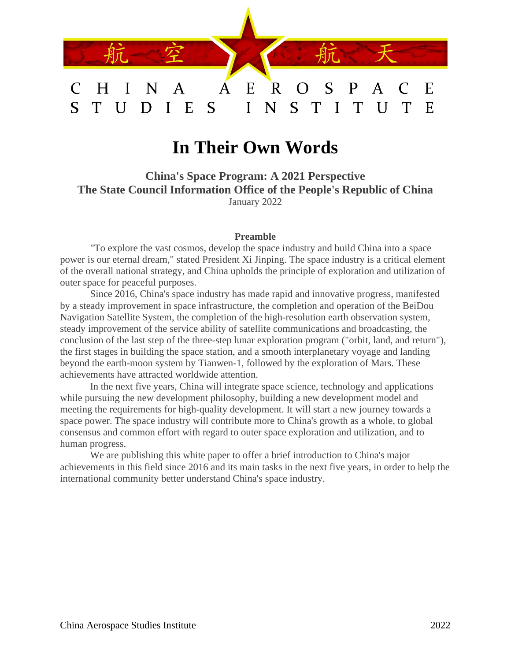

# **In Their Own Words**

**China's Space Program: A 2021 Perspective The State Council Information Office of the People's Republic of China** January 2022

#### **Preamble**

"To explore the vast cosmos, develop the space industry and build China into a space power is our eternal dream," stated President Xi Jinping. The space industry is a critical element of the overall national strategy, and China upholds the principle of exploration and utilization of outer space for peaceful purposes.

Since 2016, China's space industry has made rapid and innovative progress, manifested by a steady improvement in space infrastructure, the completion and operation of the BeiDou Navigation Satellite System, the completion of the high-resolution earth observation system, steady improvement of the service ability of satellite communications and broadcasting, the conclusion of the last step of the three-step lunar exploration program ("orbit, land, and return"), the first stages in building the space station, and a smooth interplanetary voyage and landing beyond the earth-moon system by Tianwen-1, followed by the exploration of Mars. These achievements have attracted worldwide attention.

In the next five years, China will integrate space science, technology and applications while pursuing the new development philosophy, building a new development model and meeting the requirements for high-quality development. It will start a new journey towards a space power. The space industry will contribute more to China's growth as a whole, to global consensus and common effort with regard to outer space exploration and utilization, and to human progress.

We are publishing this white paper to offer a brief introduction to China's major achievements in this field since 2016 and its main tasks in the next five years, in order to help the international community better understand China's space industry.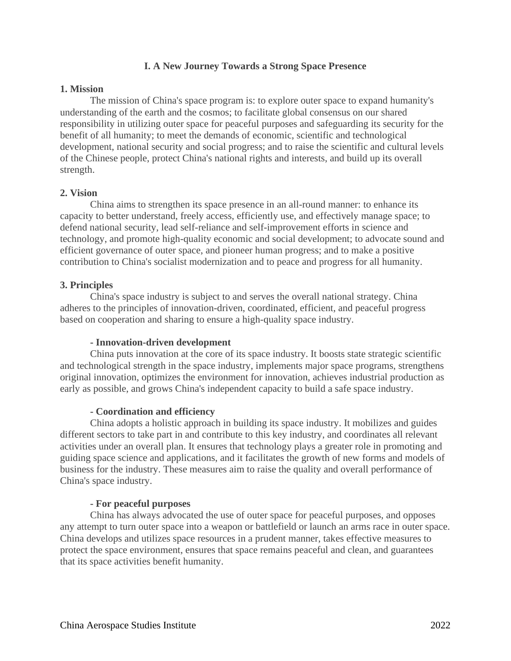## **I. A New Journey Towards a Strong Space Presence**

## **1. Mission**

The mission of China's space program is: to explore outer space to expand humanity's understanding of the earth and the cosmos; to facilitate global consensus on our shared responsibility in utilizing outer space for peaceful purposes and safeguarding its security for the benefit of all humanity; to meet the demands of economic, scientific and technological development, national security and social progress; and to raise the scientific and cultural levels of the Chinese people, protect China's national rights and interests, and build up its overall strength.

## **2. Vision**

China aims to strengthen its space presence in an all-round manner: to enhance its capacity to better understand, freely access, efficiently use, and effectively manage space; to defend national security, lead self-reliance and self-improvement efforts in science and technology, and promote high-quality economic and social development; to advocate sound and efficient governance of outer space, and pioneer human progress; and to make a positive contribution to China's socialist modernization and to peace and progress for all humanity.

## **3. Principles**

China's space industry is subject to and serves the overall national strategy. China adheres to the principles of innovation-driven, coordinated, efficient, and peaceful progress based on cooperation and sharing to ensure a high-quality space industry.

## **- Innovation-driven development**

China puts innovation at the core of its space industry. It boosts state strategic scientific and technological strength in the space industry, implements major space programs, strengthens original innovation, optimizes the environment for innovation, achieves industrial production as early as possible, and grows China's independent capacity to build a safe space industry.

#### **- Coordination and efficiency**

China adopts a holistic approach in building its space industry. It mobilizes and guides different sectors to take part in and contribute to this key industry, and coordinates all relevant activities under an overall plan. It ensures that technology plays a greater role in promoting and guiding space science and applications, and it facilitates the growth of new forms and models of business for the industry. These measures aim to raise the quality and overall performance of China's space industry.

#### **- For peaceful purposes**

China has always advocated the use of outer space for peaceful purposes, and opposes any attempt to turn outer space into a weapon or battlefield or launch an arms race in outer space. China develops and utilizes space resources in a prudent manner, takes effective measures to protect the space environment, ensures that space remains peaceful and clean, and guarantees that its space activities benefit humanity.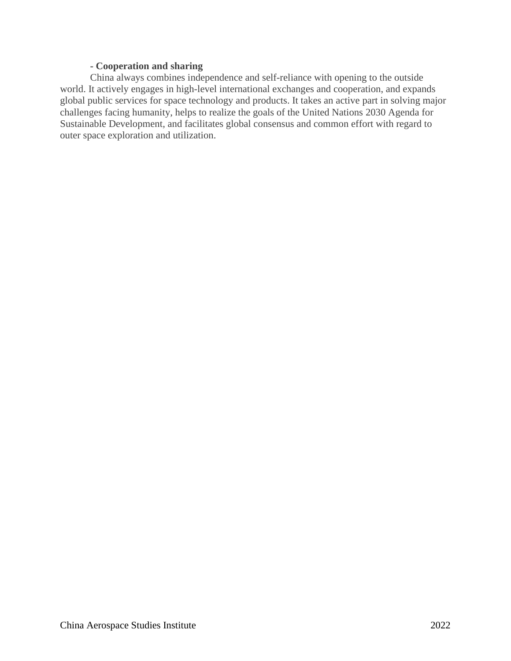## **- Cooperation and sharing**

China always combines independence and self-reliance with opening to the outside world. It actively engages in high-level international exchanges and cooperation, and expands global public services for space technology and products. It takes an active part in solving major challenges facing humanity, helps to realize the goals of the United Nations 2030 Agenda for Sustainable Development, and facilitates global consensus and common effort with regard to outer space exploration and utilization.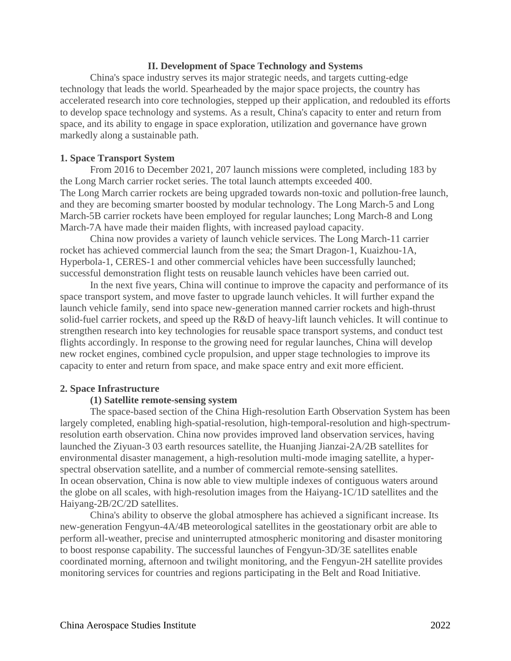## **II. Development of Space Technology and Systems**

China's space industry serves its major strategic needs, and targets cutting-edge technology that leads the world. Spearheaded by the major space projects, the country has accelerated research into core technologies, stepped up their application, and redoubled its efforts to develop space technology and systems. As a result, China's capacity to enter and return from space, and its ability to engage in space exploration, utilization and governance have grown markedly along a sustainable path.

## **1. Space Transport System**

From 2016 to December 2021, 207 launch missions were completed, including 183 by the Long March carrier rocket series. The total launch attempts exceeded 400. The Long March carrier rockets are being upgraded towards non-toxic and pollution-free launch, and they are becoming smarter boosted by modular technology. The Long March-5 and Long March-5B carrier rockets have been employed for regular launches; Long March-8 and Long March-7A have made their maiden flights, with increased payload capacity.

China now provides a variety of launch vehicle services. The Long March-11 carrier rocket has achieved commercial launch from the sea; the Smart Dragon-1, Kuaizhou-1A, Hyperbola-1, CERES-1 and other commercial vehicles have been successfully launched; successful demonstration flight tests on reusable launch vehicles have been carried out.

In the next five years, China will continue to improve the capacity and performance of its space transport system, and move faster to upgrade launch vehicles. It will further expand the launch vehicle family, send into space new-generation manned carrier rockets and high-thrust solid-fuel carrier rockets, and speed up the R&D of heavy-lift launch vehicles. It will continue to strengthen research into key technologies for reusable space transport systems, and conduct test flights accordingly. In response to the growing need for regular launches, China will develop new rocket engines, combined cycle propulsion, and upper stage technologies to improve its capacity to enter and return from space, and make space entry and exit more efficient.

#### **2. Space Infrastructure**

#### **(1) Satellite remote-sensing system**

The space-based section of the China High-resolution Earth Observation System has been largely completed, enabling high-spatial-resolution, high-temporal-resolution and high-spectrumresolution earth observation. China now provides improved land observation services, having launched the Ziyuan-3 03 earth resources satellite, the Huanjing Jianzai-2A/2B satellites for environmental disaster management, a high-resolution multi-mode imaging satellite, a hyperspectral observation satellite, and a number of commercial remote-sensing satellites. In ocean observation, China is now able to view multiple indexes of contiguous waters around the globe on all scales, with high-resolution images from the Haiyang-1C/1D satellites and the Haiyang-2B/2C/2D satellites.

China's ability to observe the global atmosphere has achieved a significant increase. Its new-generation Fengyun-4A/4B meteorological satellites in the geostationary orbit are able to perform all-weather, precise and uninterrupted atmospheric monitoring and disaster monitoring to boost response capability. The successful launches of Fengyun-3D/3E satellites enable coordinated morning, afternoon and twilight monitoring, and the Fengyun-2H satellite provides monitoring services for countries and regions participating in the Belt and Road Initiative.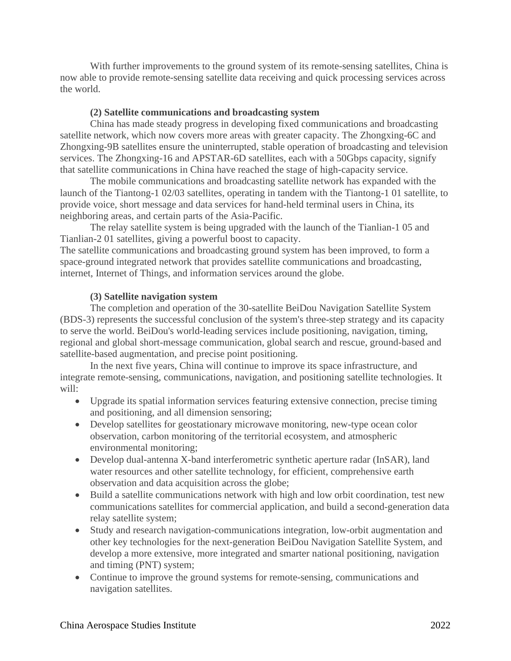With further improvements to the ground system of its remote-sensing satellites, China is now able to provide remote-sensing satellite data receiving and quick processing services across the world.

## **(2) Satellite communications and broadcasting system**

China has made steady progress in developing fixed communications and broadcasting satellite network, which now covers more areas with greater capacity. The Zhongxing-6C and Zhongxing-9B satellites ensure the uninterrupted, stable operation of broadcasting and television services. The Zhongxing-16 and APSTAR-6D satellites, each with a 50Gbps capacity, signify that satellite communications in China have reached the stage of high-capacity service.

The mobile communications and broadcasting satellite network has expanded with the launch of the Tiantong-1 02/03 satellites, operating in tandem with the Tiantong-1 01 satellite, to provide voice, short message and data services for hand-held terminal users in China, its neighboring areas, and certain parts of the Asia-Pacific.

The relay satellite system is being upgraded with the launch of the Tianlian-1 05 and Tianlian-2 01 satellites, giving a powerful boost to capacity.

The satellite communications and broadcasting ground system has been improved, to form a space-ground integrated network that provides satellite communications and broadcasting, internet, Internet of Things, and information services around the globe.

## **(3) Satellite navigation system**

The completion and operation of the 30-satellite BeiDou Navigation Satellite System (BDS-3) represents the successful conclusion of the system's three-step strategy and its capacity to serve the world. BeiDou's world-leading services include positioning, navigation, timing, regional and global short-message communication, global search and rescue, ground-based and satellite-based augmentation, and precise point positioning.

In the next five years, China will continue to improve its space infrastructure, and integrate remote-sensing, communications, navigation, and positioning satellite technologies. It will:

- Upgrade its spatial information services featuring extensive connection, precise timing and positioning, and all dimension sensoring;
- Develop satellites for geostationary microwave monitoring, new-type ocean color observation, carbon monitoring of the territorial ecosystem, and atmospheric environmental monitoring;
- Develop dual-antenna X-band interferometric synthetic aperture radar (InSAR), land water resources and other satellite technology, for efficient, comprehensive earth observation and data acquisition across the globe;
- Build a satellite communications network with high and low orbit coordination, test new communications satellites for commercial application, and build a second-generation data relay satellite system;
- Study and research navigation-communications integration, low-orbit augmentation and other key technologies for the next-generation BeiDou Navigation Satellite System, and develop a more extensive, more integrated and smarter national positioning, navigation and timing (PNT) system;
- Continue to improve the ground systems for remote-sensing, communications and navigation satellites.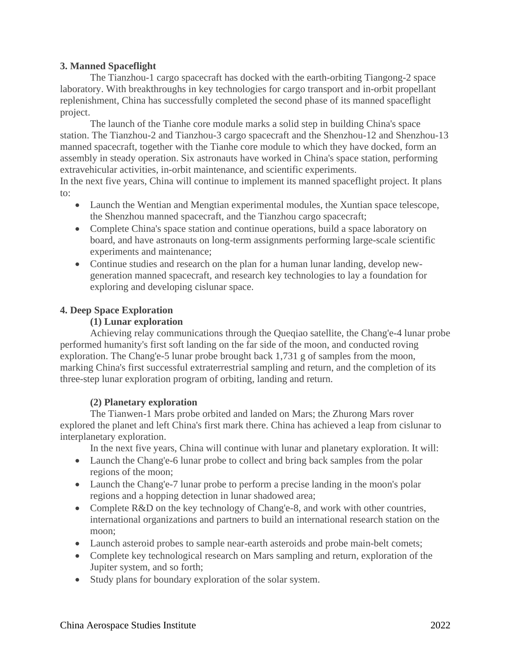## **3. Manned Spaceflight**

The Tianzhou-1 cargo spacecraft has docked with the earth-orbiting Tiangong-2 space laboratory. With breakthroughs in key technologies for cargo transport and in-orbit propellant replenishment, China has successfully completed the second phase of its manned spaceflight project.

The launch of the Tianhe core module marks a solid step in building China's space station. The Tianzhou-2 and Tianzhou-3 cargo spacecraft and the Shenzhou-12 and Shenzhou-13 manned spacecraft, together with the Tianhe core module to which they have docked, form an assembly in steady operation. Six astronauts have worked in China's space station, performing extravehicular activities, in-orbit maintenance, and scientific experiments.

In the next five years, China will continue to implement its manned spaceflight project. It plans to:

- Launch the Wentian and Mengtian experimental modules, the Xuntian space telescope, the Shenzhou manned spacecraft, and the Tianzhou cargo spacecraft;
- Complete China's space station and continue operations, build a space laboratory on board, and have astronauts on long-term assignments performing large-scale scientific experiments and maintenance;
- Continue studies and research on the plan for a human lunar landing, develop newgeneration manned spacecraft, and research key technologies to lay a foundation for exploring and developing cislunar space.

# **4. Deep Space Exploration**

## **(1) Lunar exploration**

Achieving relay communications through the Queqiao satellite, the Chang'e-4 lunar probe performed humanity's first soft landing on the far side of the moon, and conducted roving exploration. The Chang'e-5 lunar probe brought back 1,731 g of samples from the moon, marking China's first successful extraterrestrial sampling and return, and the completion of its three-step lunar exploration program of orbiting, landing and return.

# **(2) Planetary exploration**

The Tianwen-1 Mars probe orbited and landed on Mars; the Zhurong Mars rover explored the planet and left China's first mark there. China has achieved a leap from cislunar to interplanetary exploration.

In the next five years, China will continue with lunar and planetary exploration. It will:

- Launch the Chang'e-6 lunar probe to collect and bring back samples from the polar regions of the moon;
- Launch the Chang'e-7 lunar probe to perform a precise landing in the moon's polar regions and a hopping detection in lunar shadowed area;
- Complete R&D on the key technology of Chang'e-8, and work with other countries, international organizations and partners to build an international research station on the moon;
- Launch asteroid probes to sample near-earth asteroids and probe main-belt comets;
- Complete key technological research on Mars sampling and return, exploration of the Jupiter system, and so forth;
- Study plans for boundary exploration of the solar system.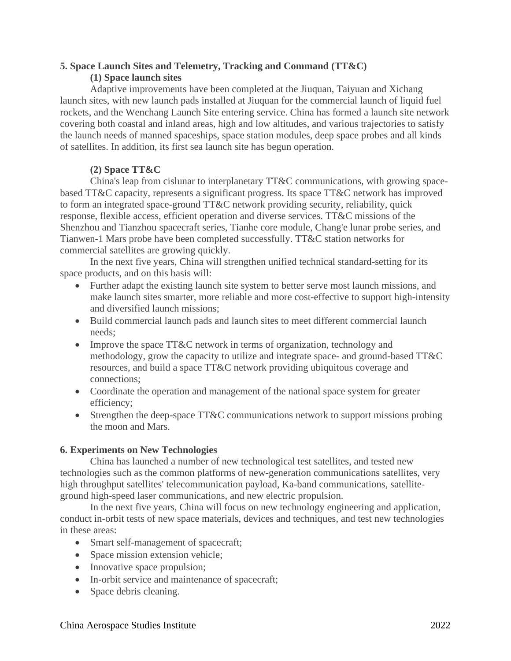# **5. Space Launch Sites and Telemetry, Tracking and Command (TT&C) (1) Space launch sites**

Adaptive improvements have been completed at the Jiuquan, Taiyuan and Xichang launch sites, with new launch pads installed at Jiuquan for the commercial launch of liquid fuel rockets, and the Wenchang Launch Site entering service. China has formed a launch site network covering both coastal and inland areas, high and low altitudes, and various trajectories to satisfy the launch needs of manned spaceships, space station modules, deep space probes and all kinds of satellites. In addition, its first sea launch site has begun operation.

# **(2) Space TT&C**

China's leap from cislunar to interplanetary TT&C communications, with growing spacebased TT&C capacity, represents a significant progress. Its space TT&C network has improved to form an integrated space-ground TT&C network providing security, reliability, quick response, flexible access, efficient operation and diverse services. TT&C missions of the Shenzhou and Tianzhou spacecraft series, Tianhe core module, Chang'e lunar probe series, and Tianwen-1 Mars probe have been completed successfully. TT&C station networks for commercial satellites are growing quickly.

In the next five years, China will strengthen unified technical standard-setting for its space products, and on this basis will:

- Further adapt the existing launch site system to better serve most launch missions, and make launch sites smarter, more reliable and more cost-effective to support high-intensity and diversified launch missions;
- Build commercial launch pads and launch sites to meet different commercial launch needs;
- Improve the space TT&C network in terms of organization, technology and methodology, grow the capacity to utilize and integrate space- and ground-based TT&C resources, and build a space TT&C network providing ubiquitous coverage and connections;
- Coordinate the operation and management of the national space system for greater efficiency;
- Strengthen the deep-space TT&C communications network to support missions probing the moon and Mars.

# **6. Experiments on New Technologies**

China has launched a number of new technological test satellites, and tested new technologies such as the common platforms of new-generation communications satellites, very high throughput satellites' telecommunication payload, Ka-band communications, satelliteground high-speed laser communications, and new electric propulsion.

In the next five years, China will focus on new technology engineering and application, conduct in-orbit tests of new space materials, devices and techniques, and test new technologies in these areas:

- Smart self-management of spacecraft;
- Space mission extension vehicle;
- Innovative space propulsion;
- In-orbit service and maintenance of spacecraft;
- Space debris cleaning.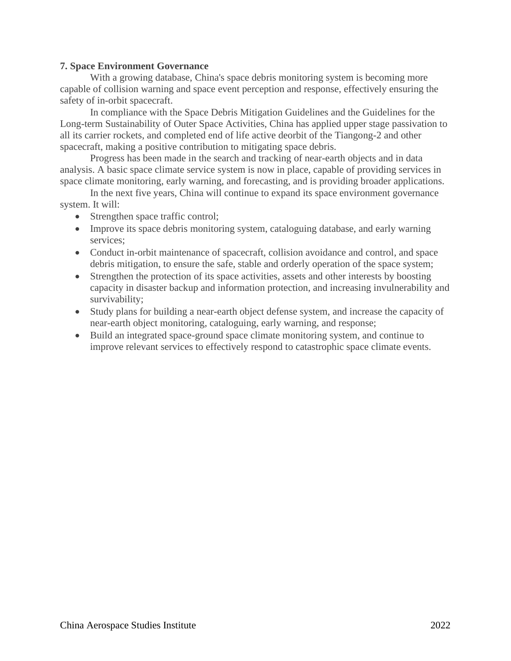## **7. Space Environment Governance**

With a growing database, China's space debris monitoring system is becoming more capable of collision warning and space event perception and response, effectively ensuring the safety of in-orbit spacecraft.

In compliance with the Space Debris Mitigation Guidelines and the Guidelines for the Long-term Sustainability of Outer Space Activities, China has applied upper stage passivation to all its carrier rockets, and completed end of life active deorbit of the Tiangong-2 and other spacecraft, making a positive contribution to mitigating space debris.

Progress has been made in the search and tracking of near-earth objects and in data analysis. A basic space climate service system is now in place, capable of providing services in space climate monitoring, early warning, and forecasting, and is providing broader applications.

In the next five years, China will continue to expand its space environment governance system. It will:

- Strengthen space traffic control;
- Improve its space debris monitoring system, cataloguing database, and early warning services;
- Conduct in-orbit maintenance of spacecraft, collision avoidance and control, and space debris mitigation, to ensure the safe, stable and orderly operation of the space system;
- Strengthen the protection of its space activities, assets and other interests by boosting capacity in disaster backup and information protection, and increasing invulnerability and survivability;
- Study plans for building a near-earth object defense system, and increase the capacity of near-earth object monitoring, cataloguing, early warning, and response;
- Build an integrated space-ground space climate monitoring system, and continue to improve relevant services to effectively respond to catastrophic space climate events.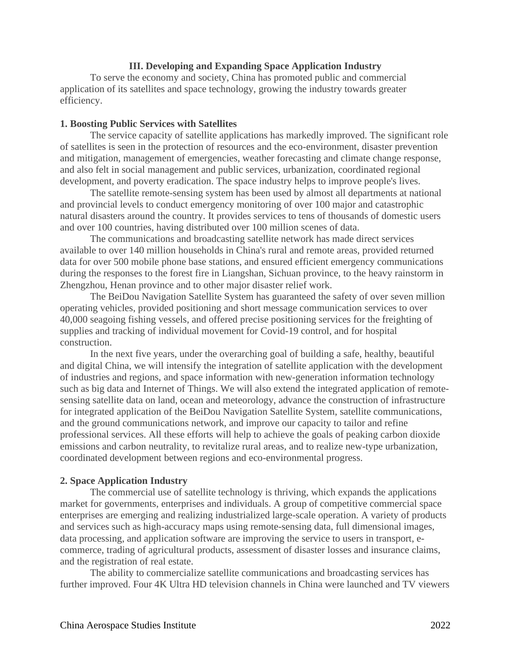## **III. Developing and Expanding Space Application Industry**

To serve the economy and society, China has promoted public and commercial application of its satellites and space technology, growing the industry towards greater efficiency.

## **1. Boosting Public Services with Satellites**

The service capacity of satellite applications has markedly improved. The significant role of satellites is seen in the protection of resources and the eco-environment, disaster prevention and mitigation, management of emergencies, weather forecasting and climate change response, and also felt in social management and public services, urbanization, coordinated regional development, and poverty eradication. The space industry helps to improve people's lives.

The satellite remote-sensing system has been used by almost all departments at national and provincial levels to conduct emergency monitoring of over 100 major and catastrophic natural disasters around the country. It provides services to tens of thousands of domestic users and over 100 countries, having distributed over 100 million scenes of data.

The communications and broadcasting satellite network has made direct services available to over 140 million households in China's rural and remote areas, provided returned data for over 500 mobile phone base stations, and ensured efficient emergency communications during the responses to the forest fire in Liangshan, Sichuan province, to the heavy rainstorm in Zhengzhou, Henan province and to other major disaster relief work.

The BeiDou Navigation Satellite System has guaranteed the safety of over seven million operating vehicles, provided positioning and short message communication services to over 40,000 seagoing fishing vessels, and offered precise positioning services for the freighting of supplies and tracking of individual movement for Covid-19 control, and for hospital construction.

In the next five years, under the overarching goal of building a safe, healthy, beautiful and digital China, we will intensify the integration of satellite application with the development of industries and regions, and space information with new-generation information technology such as big data and Internet of Things. We will also extend the integrated application of remotesensing satellite data on land, ocean and meteorology, advance the construction of infrastructure for integrated application of the BeiDou Navigation Satellite System, satellite communications, and the ground communications network, and improve our capacity to tailor and refine professional services. All these efforts will help to achieve the goals of peaking carbon dioxide emissions and carbon neutrality, to revitalize rural areas, and to realize new-type urbanization, coordinated development between regions and eco-environmental progress.

## **2. Space Application Industry**

The commercial use of satellite technology is thriving, which expands the applications market for governments, enterprises and individuals. A group of competitive commercial space enterprises are emerging and realizing industrialized large-scale operation. A variety of products and services such as high-accuracy maps using remote-sensing data, full dimensional images, data processing, and application software are improving the service to users in transport, ecommerce, trading of agricultural products, assessment of disaster losses and insurance claims, and the registration of real estate.

The ability to commercialize satellite communications and broadcasting services has further improved. Four 4K Ultra HD television channels in China were launched and TV viewers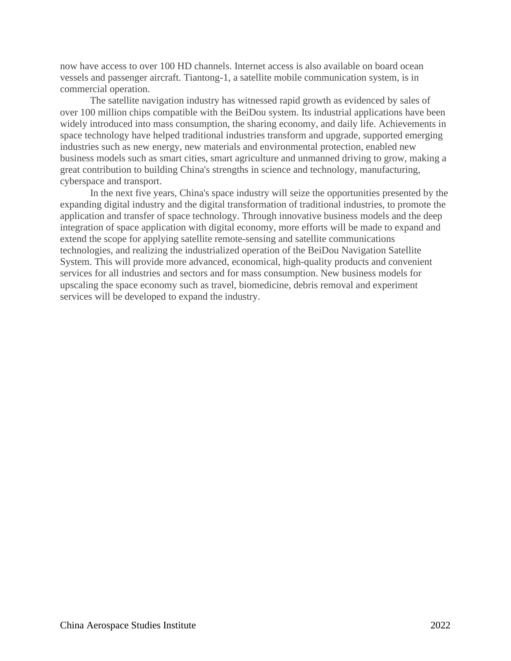now have access to over 100 HD channels. Internet access is also available on board ocean vessels and passenger aircraft. Tiantong-1, a satellite mobile communication system, is in commercial operation.

The satellite navigation industry has witnessed rapid growth as evidenced by sales of over 100 million chips compatible with the BeiDou system. Its industrial applications have been widely introduced into mass consumption, the sharing economy, and daily life. Achievements in space technology have helped traditional industries transform and upgrade, supported emerging industries such as new energy, new materials and environmental protection, enabled new business models such as smart cities, smart agriculture and unmanned driving to grow, making a great contribution to building China's strengths in science and technology, manufacturing, cyberspace and transport.

In the next five years, China's space industry will seize the opportunities presented by the expanding digital industry and the digital transformation of traditional industries, to promote the application and transfer of space technology. Through innovative business models and the deep integration of space application with digital economy, more efforts will be made to expand and extend the scope for applying satellite remote-sensing and satellite communications technologies, and realizing the industrialized operation of the BeiDou Navigation Satellite System. This will provide more advanced, economical, high-quality products and convenient services for all industries and sectors and for mass consumption. New business models for upscaling the space economy such as travel, biomedicine, debris removal and experiment services will be developed to expand the industry.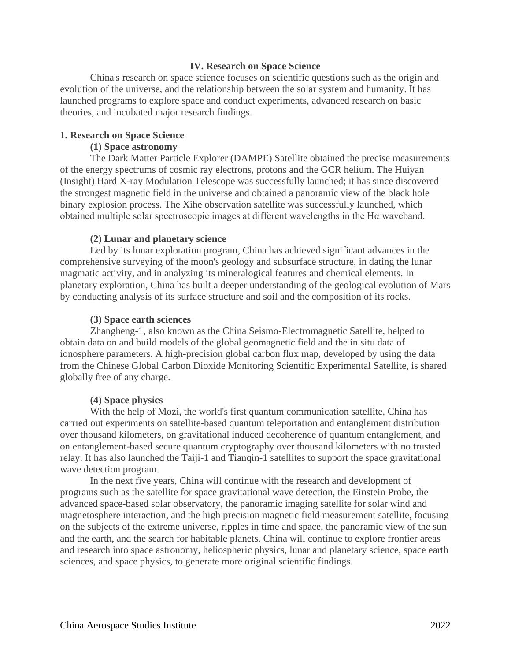## **IV. Research on Space Science**

China's research on space science focuses on scientific questions such as the origin and evolution of the universe, and the relationship between the solar system and humanity. It has launched programs to explore space and conduct experiments, advanced research on basic theories, and incubated major research findings.

#### **1. Research on Space Science**

## **(1) Space astronomy**

The Dark Matter Particle Explorer (DAMPE) Satellite obtained the precise measurements of the energy spectrums of cosmic ray electrons, protons and the GCR helium. The Huiyan (Insight) Hard X-ray Modulation Telescope was successfully launched; it has since discovered the strongest magnetic field in the universe and obtained a panoramic view of the black hole binary explosion process. The Xihe observation satellite was successfully launched, which obtained multiple solar spectroscopic images at different wavelengths in the Hα waveband.

## **(2) Lunar and planetary science**

Led by its lunar exploration program, China has achieved significant advances in the comprehensive surveying of the moon's geology and subsurface structure, in dating the lunar magmatic activity, and in analyzing its mineralogical features and chemical elements. In planetary exploration, China has built a deeper understanding of the geological evolution of Mars by conducting analysis of its surface structure and soil and the composition of its rocks.

## **(3) Space earth sciences**

Zhangheng-1, also known as the China Seismo-Electromagnetic Satellite, helped to obtain data on and build models of the global geomagnetic field and the in situ data of ionosphere parameters. A high-precision global carbon flux map, developed by using the data from the Chinese Global Carbon Dioxide Monitoring Scientific Experimental Satellite, is shared globally free of any charge.

## **(4) Space physics**

With the help of Mozi, the world's first quantum communication satellite, China has carried out experiments on satellite-based quantum teleportation and entanglement distribution over thousand kilometers, on gravitational induced decoherence of quantum entanglement, and on entanglement-based secure quantum cryptography over thousand kilometers with no trusted relay. It has also launched the Taiji-1 and Tianqin-1 satellites to support the space gravitational wave detection program.

In the next five years, China will continue with the research and development of programs such as the satellite for space gravitational wave detection, the Einstein Probe, the advanced space-based solar observatory, the panoramic imaging satellite for solar wind and magnetosphere interaction, and the high precision magnetic field measurement satellite, focusing on the subjects of the extreme universe, ripples in time and space, the panoramic view of the sun and the earth, and the search for habitable planets. China will continue to explore frontier areas and research into space astronomy, heliospheric physics, lunar and planetary science, space earth sciences, and space physics, to generate more original scientific findings.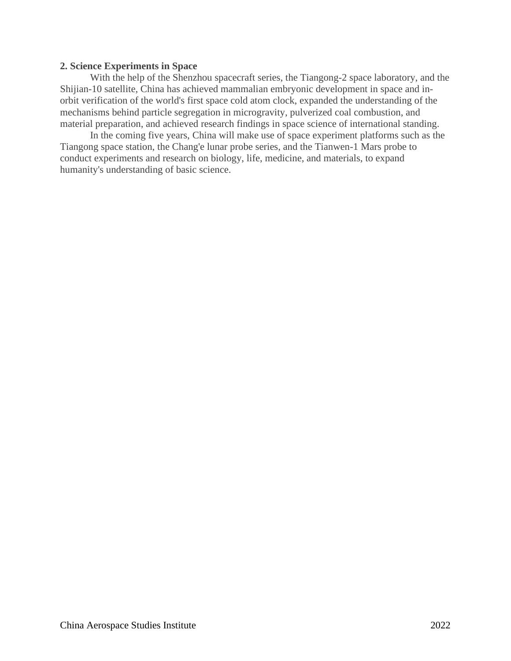## **2. Science Experiments in Space**

With the help of the Shenzhou spacecraft series, the Tiangong-2 space laboratory, and the Shijian-10 satellite, China has achieved mammalian embryonic development in space and inorbit verification of the world's first space cold atom clock, expanded the understanding of the mechanisms behind particle segregation in microgravity, pulverized coal combustion, and material preparation, and achieved research findings in space science of international standing.

In the coming five years, China will make use of space experiment platforms such as the Tiangong space station, the Chang'e lunar probe series, and the Tianwen-1 Mars probe to conduct experiments and research on biology, life, medicine, and materials, to expand humanity's understanding of basic science.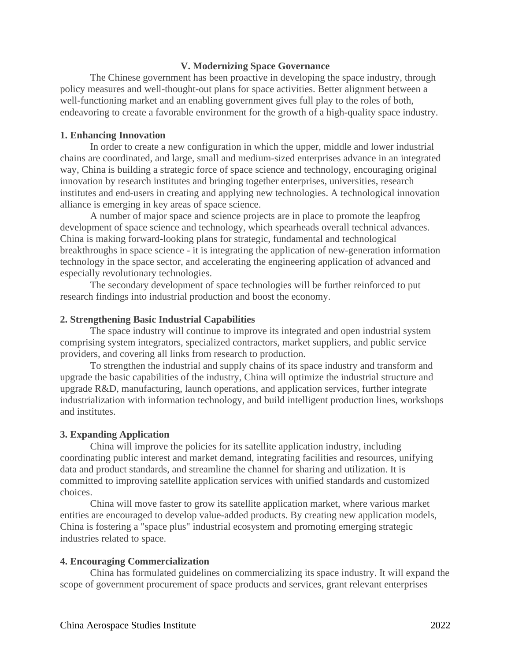## **V. Modernizing Space Governance**

The Chinese government has been proactive in developing the space industry, through policy measures and well-thought-out plans for space activities. Better alignment between a well-functioning market and an enabling government gives full play to the roles of both, endeavoring to create a favorable environment for the growth of a high-quality space industry.

## **1. Enhancing Innovation**

In order to create a new configuration in which the upper, middle and lower industrial chains are coordinated, and large, small and medium-sized enterprises advance in an integrated way, China is building a strategic force of space science and technology, encouraging original innovation by research institutes and bringing together enterprises, universities, research institutes and end-users in creating and applying new technologies. A technological innovation alliance is emerging in key areas of space science.

A number of major space and science projects are in place to promote the leapfrog development of space science and technology, which spearheads overall technical advances. China is making forward-looking plans for strategic, fundamental and technological breakthroughs in space science - it is integrating the application of new-generation information technology in the space sector, and accelerating the engineering application of advanced and especially revolutionary technologies.

The secondary development of space technologies will be further reinforced to put research findings into industrial production and boost the economy.

## **2. Strengthening Basic Industrial Capabilities**

The space industry will continue to improve its integrated and open industrial system comprising system integrators, specialized contractors, market suppliers, and public service providers, and covering all links from research to production.

To strengthen the industrial and supply chains of its space industry and transform and upgrade the basic capabilities of the industry, China will optimize the industrial structure and upgrade R&D, manufacturing, launch operations, and application services, further integrate industrialization with information technology, and build intelligent production lines, workshops and institutes.

#### **3. Expanding Application**

China will improve the policies for its satellite application industry, including coordinating public interest and market demand, integrating facilities and resources, unifying data and product standards, and streamline the channel for sharing and utilization. It is committed to improving satellite application services with unified standards and customized choices.

China will move faster to grow its satellite application market, where various market entities are encouraged to develop value-added products. By creating new application models, China is fostering a "space plus" industrial ecosystem and promoting emerging strategic industries related to space.

#### **4. Encouraging Commercialization**

China has formulated guidelines on commercializing its space industry. It will expand the scope of government procurement of space products and services, grant relevant enterprises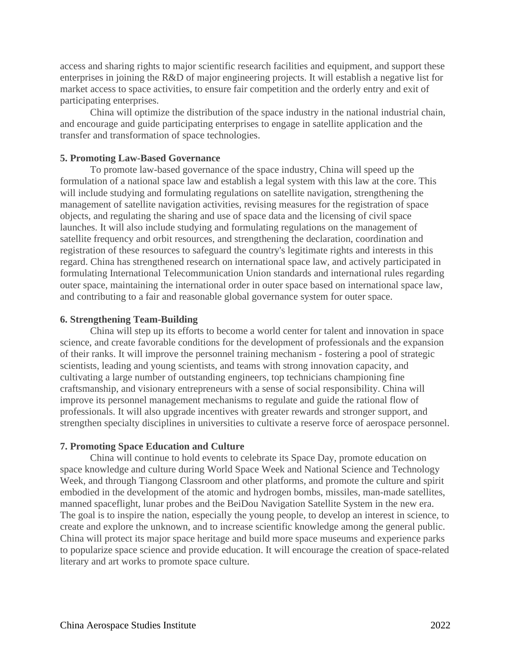access and sharing rights to major scientific research facilities and equipment, and support these enterprises in joining the R&D of major engineering projects. It will establish a negative list for market access to space activities, to ensure fair competition and the orderly entry and exit of participating enterprises.

China will optimize the distribution of the space industry in the national industrial chain, and encourage and guide participating enterprises to engage in satellite application and the transfer and transformation of space technologies.

## **5. Promoting Law-Based Governance**

To promote law-based governance of the space industry, China will speed up the formulation of a national space law and establish a legal system with this law at the core. This will include studying and formulating regulations on satellite navigation, strengthening the management of satellite navigation activities, revising measures for the registration of space objects, and regulating the sharing and use of space data and the licensing of civil space launches. It will also include studying and formulating regulations on the management of satellite frequency and orbit resources, and strengthening the declaration, coordination and registration of these resources to safeguard the country's legitimate rights and interests in this regard. China has strengthened research on international space law, and actively participated in formulating International Telecommunication Union standards and international rules regarding outer space, maintaining the international order in outer space based on international space law, and contributing to a fair and reasonable global governance system for outer space.

## **6. Strengthening Team-Building**

China will step up its efforts to become a world center for talent and innovation in space science, and create favorable conditions for the development of professionals and the expansion of their ranks. It will improve the personnel training mechanism - fostering a pool of strategic scientists, leading and young scientists, and teams with strong innovation capacity, and cultivating a large number of outstanding engineers, top technicians championing fine craftsmanship, and visionary entrepreneurs with a sense of social responsibility. China will improve its personnel management mechanisms to regulate and guide the rational flow of professionals. It will also upgrade incentives with greater rewards and stronger support, and strengthen specialty disciplines in universities to cultivate a reserve force of aerospace personnel.

#### **7. Promoting Space Education and Culture**

China will continue to hold events to celebrate its Space Day, promote education on space knowledge and culture during World Space Week and National Science and Technology Week, and through Tiangong Classroom and other platforms, and promote the culture and spirit embodied in the development of the atomic and hydrogen bombs, missiles, man-made satellites, manned spaceflight, lunar probes and the BeiDou Navigation Satellite System in the new era. The goal is to inspire the nation, especially the young people, to develop an interest in science, to create and explore the unknown, and to increase scientific knowledge among the general public. China will protect its major space heritage and build more space museums and experience parks to popularize space science and provide education. It will encourage the creation of space-related literary and art works to promote space culture.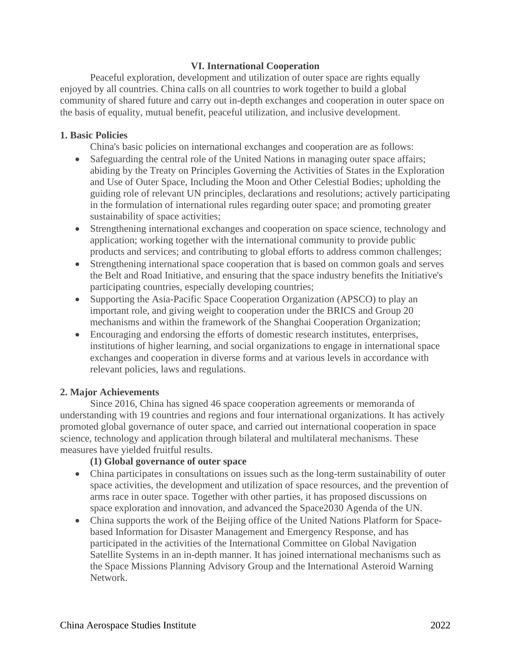# **VI. International Cooperation**

Peaceful exploration, development and utilization of outer space are rights equally enjoyed by all countries. China calls on all countries to work together to build a global community of shared future and carry out in-depth exchanges and cooperation in outer space on the basis of equality, mutual benefit, peaceful utilization, and inclusive development.

# **1. Basic Policies**

China's basic policies on international exchanges and cooperation are as follows:

- Safeguarding the central role of the United Nations in managing outer space affairs; abiding by the Treaty on Principles Governing the Activities of States in the Exploration and Use of Outer Space, Including the Moon and Other Celestial Bodies; upholding the guiding role of relevant UN principles, declarations and resolutions; actively participating in the formulation of international rules regarding outer space; and promoting greater sustainability of space activities;
- Strengthening international exchanges and cooperation on space science, technology and application; working together with the international community to provide public products and services; and contributing to global efforts to address common challenges;
- Strengthening international space cooperation that is based on common goals and serves the Belt and Road Initiative, and ensuring that the space industry benefits the Initiative's participating countries, especially developing countries;
- Supporting the Asia-Pacific Space Cooperation Organization (APSCO) to play an important role, and giving weight to cooperation under the BRICS and Group 20 mechanisms and within the framework of the Shanghai Cooperation Organization;
- Encouraging and endorsing the efforts of domestic research institutes, enterprises, institutions of higher learning, and social organizations to engage in international space exchanges and cooperation in diverse forms and at various levels in accordance with relevant policies, laws and regulations.

# **2. Major Achievements**

Since 2016, China has signed 46 space cooperation agreements or memoranda of understanding with 19 countries and regions and four international organizations. It has actively promoted global governance of outer space, and carried out international cooperation in space science, technology and application through bilateral and multilateral mechanisms. These measures have yielded fruitful results.

# **(1) Global governance of outer space**

- China participates in consultations on issues such as the long-term sustainability of outer space activities, the development and utilization of space resources, and the prevention of arms race in outer space. Together with other parties, it has proposed discussions on space exploration and innovation, and advanced the Space2030 Agenda of the UN.
- China supports the work of the Beijing office of the United Nations Platform for Spacebased Information for Disaster Management and Emergency Response, and has participated in the activities of the International Committee on Global Navigation Satellite Systems in an in-depth manner. It has joined international mechanisms such as the Space Missions Planning Advisory Group and the International Asteroid Warning Network.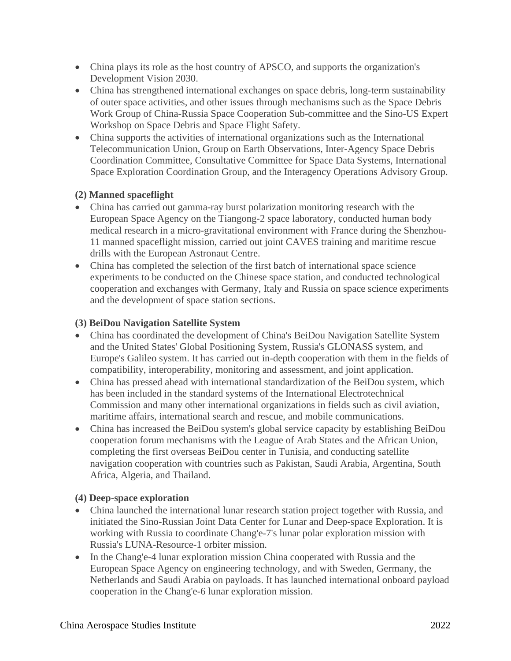- China plays its role as the host country of APSCO, and supports the organization's Development Vision 2030.
- China has strengthened international exchanges on space debris, long-term sustainability of outer space activities, and other issues through mechanisms such as the Space Debris Work Group of China-Russia Space Cooperation Sub-committee and the Sino-US Expert Workshop on Space Debris and Space Flight Safety.
- China supports the activities of international organizations such as the International Telecommunication Union, Group on Earth Observations, Inter-Agency Space Debris Coordination Committee, Consultative Committee for Space Data Systems, International Space Exploration Coordination Group, and the Interagency Operations Advisory Group.

# **(2) Manned spaceflight**

- China has carried out gamma-ray burst polarization monitoring research with the European Space Agency on the Tiangong-2 space laboratory, conducted human body medical research in a micro-gravitational environment with France during the Shenzhou-11 manned spaceflight mission, carried out joint CAVES training and maritime rescue drills with the European Astronaut Centre.
- China has completed the selection of the first batch of international space science experiments to be conducted on the Chinese space station, and conducted technological cooperation and exchanges with Germany, Italy and Russia on space science experiments and the development of space station sections.

# **(3) BeiDou Navigation Satellite System**

- China has coordinated the development of China's BeiDou Navigation Satellite System and the United States' Global Positioning System, Russia's GLONASS system, and Europe's Galileo system. It has carried out in-depth cooperation with them in the fields of compatibility, interoperability, monitoring and assessment, and joint application.
- China has pressed ahead with international standardization of the BeiDou system, which has been included in the standard systems of the International Electrotechnical Commission and many other international organizations in fields such as civil aviation, maritime affairs, international search and rescue, and mobile communications.
- China has increased the BeiDou system's global service capacity by establishing BeiDou cooperation forum mechanisms with the League of Arab States and the African Union, completing the first overseas BeiDou center in Tunisia, and conducting satellite navigation cooperation with countries such as Pakistan, Saudi Arabia, Argentina, South Africa, Algeria, and Thailand.

# **(4) Deep-space exploration**

- China launched the international lunar research station project together with Russia, and initiated the Sino-Russian Joint Data Center for Lunar and Deep-space Exploration. It is working with Russia to coordinate Chang'e-7's lunar polar exploration mission with Russia's LUNA-Resource-1 orbiter mission.
- In the Chang'e-4 lunar exploration mission China cooperated with Russia and the European Space Agency on engineering technology, and with Sweden, Germany, the Netherlands and Saudi Arabia on payloads. It has launched international onboard payload cooperation in the Chang'e-6 lunar exploration mission.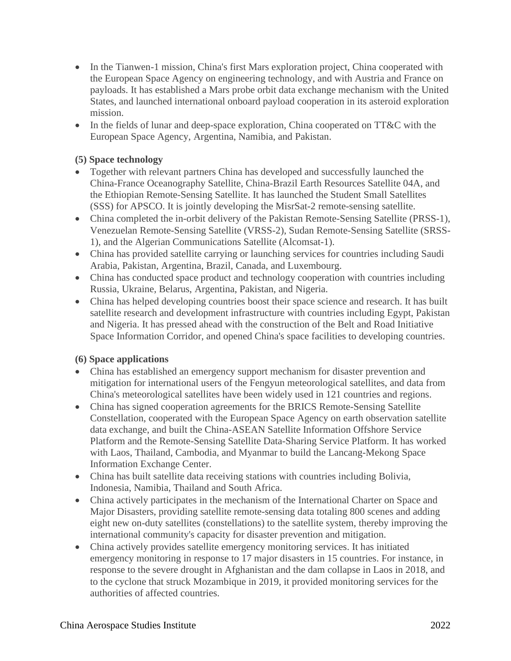- In the Tianwen-1 mission, China's first Mars exploration project, China cooperated with the European Space Agency on engineering technology, and with Austria and France on payloads. It has established a Mars probe orbit data exchange mechanism with the United States, and launched international onboard payload cooperation in its asteroid exploration mission.
- In the fields of lunar and deep-space exploration, China cooperated on TT&C with the European Space Agency, Argentina, Namibia, and Pakistan.

# **(5) Space technology**

- Together with relevant partners China has developed and successfully launched the China-France Oceanography Satellite, China-Brazil Earth Resources Satellite 04A, and the Ethiopian Remote-Sensing Satellite. It has launched the Student Small Satellites (SSS) for APSCO. It is jointly developing the MisrSat-2 remote-sensing satellite.
- China completed the in-orbit delivery of the Pakistan Remote-Sensing Satellite (PRSS-1), Venezuelan Remote-Sensing Satellite (VRSS-2), Sudan Remote-Sensing Satellite (SRSS-1), and the Algerian Communications Satellite (Alcomsat-1).
- China has provided satellite carrying or launching services for countries including Saudi Arabia, Pakistan, Argentina, Brazil, Canada, and Luxembourg.
- China has conducted space product and technology cooperation with countries including Russia, Ukraine, Belarus, Argentina, Pakistan, and Nigeria.
- China has helped developing countries boost their space science and research. It has built satellite research and development infrastructure with countries including Egypt, Pakistan and Nigeria. It has pressed ahead with the construction of the Belt and Road Initiative Space Information Corridor, and opened China's space facilities to developing countries.

# **(6) Space applications**

- China has established an emergency support mechanism for disaster prevention and mitigation for international users of the Fengyun meteorological satellites, and data from China's meteorological satellites have been widely used in 121 countries and regions.
- China has signed cooperation agreements for the BRICS Remote-Sensing Satellite Constellation, cooperated with the European Space Agency on earth observation satellite data exchange, and built the China-ASEAN Satellite Information Offshore Service Platform and the Remote-Sensing Satellite Data-Sharing Service Platform. It has worked with Laos, Thailand, Cambodia, and Myanmar to build the Lancang-Mekong Space Information Exchange Center.
- China has built satellite data receiving stations with countries including Bolivia, Indonesia, Namibia, Thailand and South Africa.
- China actively participates in the mechanism of the International Charter on Space and Major Disasters, providing satellite remote-sensing data totaling 800 scenes and adding eight new on-duty satellites (constellations) to the satellite system, thereby improving the international community's capacity for disaster prevention and mitigation.
- China actively provides satellite emergency monitoring services. It has initiated emergency monitoring in response to 17 major disasters in 15 countries. For instance, in response to the severe drought in Afghanistan and the dam collapse in Laos in 2018, and to the cyclone that struck Mozambique in 2019, it provided monitoring services for the authorities of affected countries.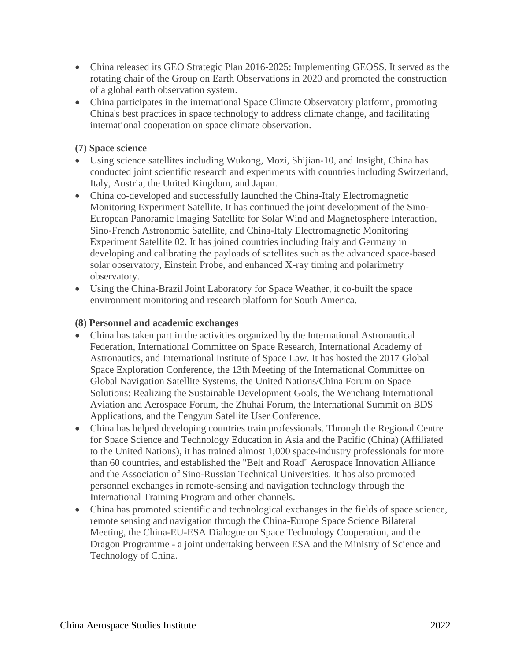- China released its GEO Strategic Plan 2016-2025: Implementing GEOSS. It served as the rotating chair of the Group on Earth Observations in 2020 and promoted the construction of a global earth observation system.
- China participates in the international Space Climate Observatory platform, promoting China's best practices in space technology to address climate change, and facilitating international cooperation on space climate observation.

# **(7) Space science**

- Using science satellites including Wukong, Mozi, Shijian-10, and Insight, China has conducted joint scientific research and experiments with countries including Switzerland, Italy, Austria, the United Kingdom, and Japan.
- China co-developed and successfully launched the China-Italy Electromagnetic Monitoring Experiment Satellite. It has continued the joint development of the Sino-European Panoramic Imaging Satellite for Solar Wind and Magnetosphere Interaction, Sino-French Astronomic Satellite, and China-Italy Electromagnetic Monitoring Experiment Satellite 02. It has joined countries including Italy and Germany in developing and calibrating the payloads of satellites such as the advanced space-based solar observatory, Einstein Probe, and enhanced X-ray timing and polarimetry observatory.
- Using the China-Brazil Joint Laboratory for Space Weather, it co-built the space environment monitoring and research platform for South America.

# **(8) Personnel and academic exchanges**

- China has taken part in the activities organized by the International Astronautical Federation, International Committee on Space Research, International Academy of Astronautics, and International Institute of Space Law. It has hosted the 2017 Global Space Exploration Conference, the 13th Meeting of the International Committee on Global Navigation Satellite Systems, the United Nations/China Forum on Space Solutions: Realizing the Sustainable Development Goals, the Wenchang International Aviation and Aerospace Forum, the Zhuhai Forum, the International Summit on BDS Applications, and the Fengyun Satellite User Conference.
- China has helped developing countries train professionals. Through the Regional Centre for Space Science and Technology Education in Asia and the Pacific (China) (Affiliated to the United Nations), it has trained almost 1,000 space-industry professionals for more than 60 countries, and established the "Belt and Road" Aerospace Innovation Alliance and the Association of Sino-Russian Technical Universities. It has also promoted personnel exchanges in remote-sensing and navigation technology through the International Training Program and other channels.
- China has promoted scientific and technological exchanges in the fields of space science, remote sensing and navigation through the China-Europe Space Science Bilateral Meeting, the China-EU-ESA Dialogue on Space Technology Cooperation, and the Dragon Programme - a joint undertaking between ESA and the Ministry of Science and Technology of China.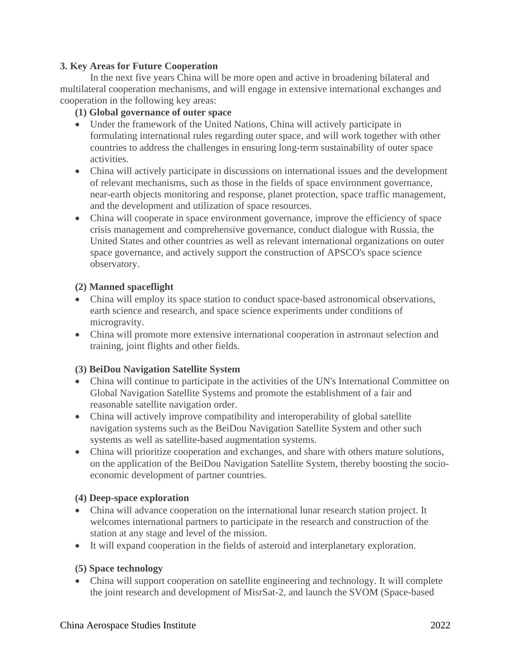## **3. Key Areas for Future Cooperation**

In the next five years China will be more open and active in broadening bilateral and multilateral cooperation mechanisms, and will engage in extensive international exchanges and cooperation in the following key areas:

## **(1) Global governance of outer space**

- Under the framework of the United Nations, China will actively participate in formulating international rules regarding outer space, and will work together with other countries to address the challenges in ensuring long-term sustainability of outer space activities.
- China will actively participate in discussions on international issues and the development of relevant mechanisms, such as those in the fields of space environment governance, near-earth objects monitoring and response, planet protection, space traffic management, and the development and utilization of space resources.
- China will cooperate in space environment governance, improve the efficiency of space crisis management and comprehensive governance, conduct dialogue with Russia, the United States and other countries as well as relevant international organizations on outer space governance, and actively support the construction of APSCO's space science observatory.

## **(2) Manned spaceflight**

- China will employ its space station to conduct space-based astronomical observations, earth science and research, and space science experiments under conditions of microgravity.
- China will promote more extensive international cooperation in astronaut selection and training, joint flights and other fields.

# **(3) BeiDou Navigation Satellite System**

- China will continue to participate in the activities of the UN's International Committee on Global Navigation Satellite Systems and promote the establishment of a fair and reasonable satellite navigation order.
- China will actively improve compatibility and interoperability of global satellite navigation systems such as the BeiDou Navigation Satellite System and other such systems as well as satellite-based augmentation systems.
- China will prioritize cooperation and exchanges, and share with others mature solutions, on the application of the BeiDou Navigation Satellite System, thereby boosting the socioeconomic development of partner countries.

## **(4) Deep-space exploration**

- China will advance cooperation on the international lunar research station project. It welcomes international partners to participate in the research and construction of the station at any stage and level of the mission.
- It will expand cooperation in the fields of asteroid and interplanetary exploration.

# **(5) Space technology**

• China will support cooperation on satellite engineering and technology. It will complete the joint research and development of MisrSat-2, and launch the SVOM (Space-based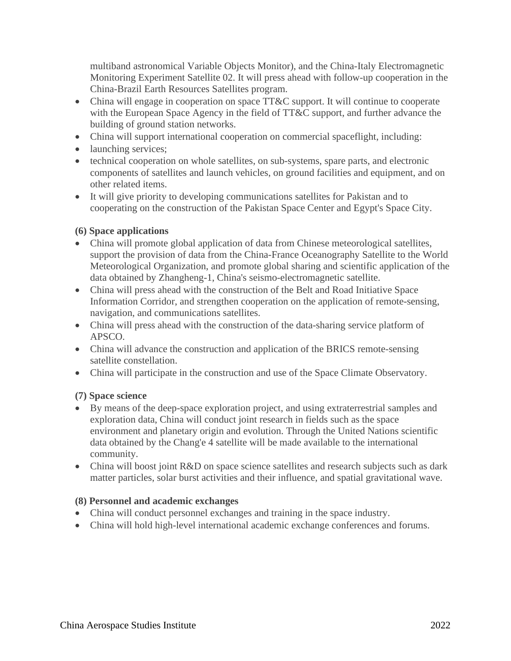multiband astronomical Variable Objects Monitor), and the China-Italy Electromagnetic Monitoring Experiment Satellite 02. It will press ahead with follow-up cooperation in the China-Brazil Earth Resources Satellites program.

- China will engage in cooperation on space TT&C support. It will continue to cooperate with the European Space Agency in the field of TT&C support, and further advance the building of ground station networks.
- China will support international cooperation on commercial spaceflight, including:
- launching services;
- technical cooperation on whole satellites, on sub-systems, spare parts, and electronic components of satellites and launch vehicles, on ground facilities and equipment, and on other related items.
- It will give priority to developing communications satellites for Pakistan and to cooperating on the construction of the Pakistan Space Center and Egypt's Space City.

# **(6) Space applications**

- China will promote global application of data from Chinese meteorological satellites, support the provision of data from the China-France Oceanography Satellite to the World Meteorological Organization, and promote global sharing and scientific application of the data obtained by Zhangheng-1, China's seismo-electromagnetic satellite.
- China will press ahead with the construction of the Belt and Road Initiative Space Information Corridor, and strengthen cooperation on the application of remote-sensing, navigation, and communications satellites.
- China will press ahead with the construction of the data-sharing service platform of APSCO.
- China will advance the construction and application of the BRICS remote-sensing satellite constellation.
- China will participate in the construction and use of the Space Climate Observatory.

# **(7) Space science**

- By means of the deep-space exploration project, and using extraterrestrial samples and exploration data, China will conduct joint research in fields such as the space environment and planetary origin and evolution. Through the United Nations scientific data obtained by the Chang'e 4 satellite will be made available to the international community.
- China will boost joint R&D on space science satellites and research subjects such as dark matter particles, solar burst activities and their influence, and spatial gravitational wave.

# **(8) Personnel and academic exchanges**

- China will conduct personnel exchanges and training in the space industry.
- China will hold high-level international academic exchange conferences and forums.